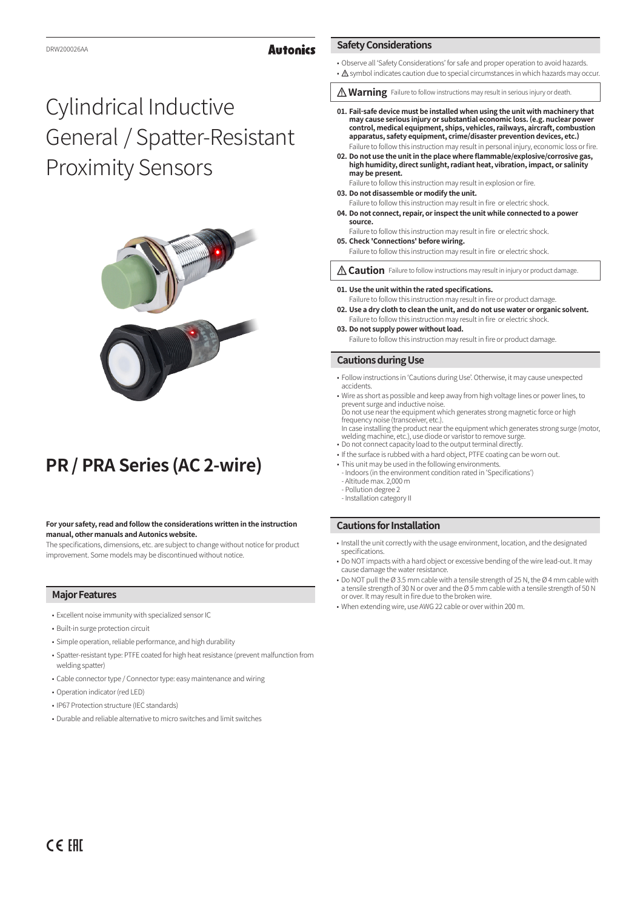#### **Autonics**

#### • Observe all 'Safety Considerations' for safe and proper operation to avoid hazards.

- A symbol indicates caution due to special circumstances in which hazards may occur.
- **Marning** Failure to follow instructions may result in serious injury or death.
- **01. Fail-safe device must be installed when using the unit with machinery that may cause serious injury or substantial economic loss. (e.g. nuclear power control, medical equipment, ships, vehicles, railways, aircraft, combustion apparatus, safety equipment, crime/disaster prevention devices, etc.)** Failure to follow this instruction may result in personal injury, economic loss or fire.
- **02. Do not use the unit in the place where flammable/explosive/corrosive gas, high humidity, direct sunlight, radiant heat, vibration, impact, or salinity may be present.**
- Failure to follow this instruction may result in explosion or fire. **03. Do not disassemble or modify the unit.**
- Failure to follow this instruction may result in fire or electric shock.
- **04. Do not connect, repair, or inspect the unit while connected to a power source.**
- Failure to follow this instruction may result in fire or electric shock. **05. Check 'Connections' before wiring.**
- Failure to follow this instruction may result in fire or electric shock.
- **A Caution** Failure to follow instructions may result in injury or product damage.
- **01. Use the unit within the rated specifications.**
- Failure to follow this instruction may result in fire or product damage. **02. Use a dry cloth to clean the unit, and do not use water or organic solvent.**
- Failure to follow this instruction may result in fire or electric shock. **03. Do not supply power without load.**

Failure to follow this instruction may result in fire or product damage.

### **Cautions during Use**

**Safety Considerations**

- Follow instructions in 'Cautions during Use'. Otherwise, it may cause unexpected accidents.
- Wire as short as possible and keep away from high voltage lines or power lines, to prevent surge and inductive noise. Do not use near the equipment which generates strong magnetic force or high frequency noise (transceiver, etc.). In case installing the product near the equipment which generates strong surge (motor,
- welding machine, etc.), use diode or varistor to remove surge.
- Do not connect capacity load to the output terminal directly. • If the surface is rubbed with a hard object, PTFE coating can be worn out.
- This unit may be used in the following environments.
- Indoors (in the environment condition rated in 'Specifications') - Altitude max. 2,000 m
- Pollution degree 2 - Installation category II
- 

# **Cautions for Installation**

- Install the unit correctly with the usage environment, location, and the designated specifications.
- Do NOT impacts with a hard object or excessive bending of the wire lead-out. It may cause damage the water resistance.
- Do NOT pull the Ø 3.5 mm cable with a tensile strength of 25 N, the Ø 4 mm cable with a tensile strength of 30 N or over and the Ø 5 mm cable with a tensile strength of 50 N or over. It may result in fire due to the broken wire.
- When extending wire, use AWG 22 cable or over within 200 m.

# Cylindrical Inductive General / Spatter-Resistant Proximity Sensors



# **PR / PRA Series (AC 2-wire)**

#### **For your safety, read and follow the considerations written in the instruction manual, other manuals and Autonics website.**

The specifications, dimensions, etc. are subject to change without notice for product improvement. Some models may be discontinued without notice.

# **Major Features**

- Excellent noise immunity with specialized sensor IC
- Built-in surge protection circuit
- Simple operation, reliable performance, and high durability
- Spatter-resistant type: PTFE coated for high heat resistance (prevent malfunction from welding spatter)
- Cable connector type / Connector type: easy maintenance and wiring
- Operation indicator (red LED)
- IP67 Protection structure (IEC standards)
- Durable and reliable alternative to micro switches and limit switches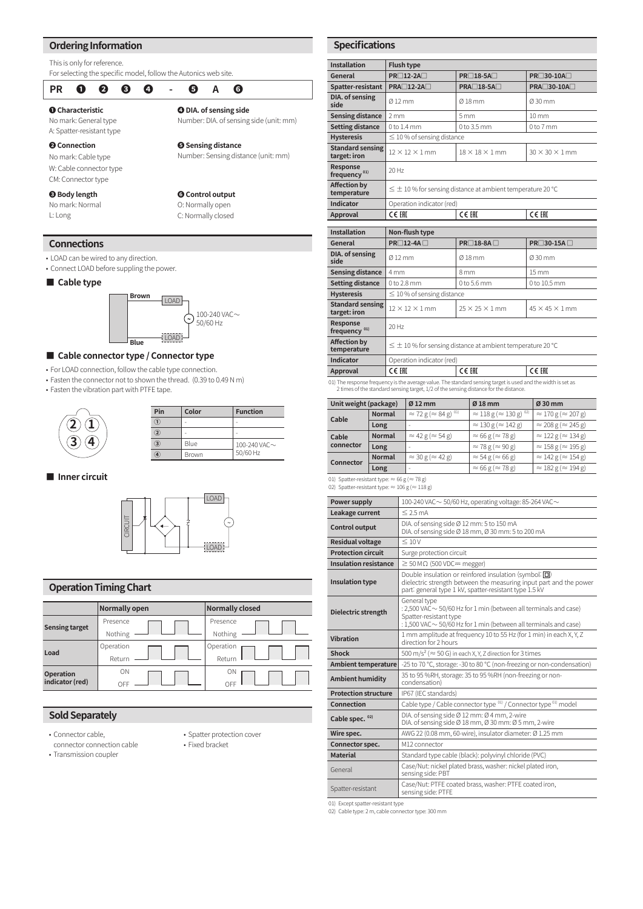#### **Ordering Information**

This is only for reference.

#### **Connections ❶ Characteristic** No mark: General type A: Spatter-resistant type **❹ DIA. of sensing side** Number: DIA. of sensing side (unit: mm) **❷ Connection** No mark: Cable type W: Cable connector type CM: Connector type **❺ Sensing distance** Number: Sensing distance (unit: mm) **❸ Body length** No mark: Normal L: Long **❻ Control output** O: Normally open C: Normally closed For selecting the specific model, follow the Autonics web site. **PR ❶ ❷ ❸ ❹ - ❺ A ❻**

- LOAD can be wired to any direction.
- Connect LOAD before suppling the power.

#### **■ Cable type**



#### **■ Cable connector type / Connector type**

• For LOAD connection, follow the cable type connection.

• Fasten the connector not to shown the thread. (0.39 to 0.49 N m)

• Fasten the vibration part with PTFE tape.



**■ Inner circuit**



### **Operation Timing Chart**

|                                     | <b>Normally open</b> | <b>Normally closed</b> |
|-------------------------------------|----------------------|------------------------|
| <b>Sensing target</b>               | Presence             | Presence               |
|                                     | Nothing              | Nothing                |
| Load                                | Operation            | Operation              |
|                                     | Return               | Return                 |
| <b>Operation</b><br>indicator (red) | ON                   | ON                     |
|                                     |                      | OFF                    |

## **Sold Separately**

- Connector cable,
- connector connection cable • Transmission coupler
- 
- Spatter protection cover
- Fixed bracket

| <b>Installation</b>                     | <b>Flush type</b>                                                   |                            |                            |  |  |
|-----------------------------------------|---------------------------------------------------------------------|----------------------------|----------------------------|--|--|
| General                                 | PR□12-2A□                                                           | PR□18-5A□                  | PR□30-10A□                 |  |  |
| Spatter-resistant                       | <b>PRA□12-2A□</b>                                                   | PRA□18-5A□                 | PRA□30-10A□                |  |  |
| DIA. of sensing<br>side                 | Ø 12 mm                                                             | $Q$ 18 mm                  | Ø30 mm                     |  |  |
| <b>Sensing distance</b>                 | 2mm                                                                 | 5 <sub>mm</sub>            | $10 \, \text{mm}$          |  |  |
| <b>Setting distance</b>                 | $0$ to $1.4$ mm                                                     | 0 to 3.5 mm                | 0 to 7 mm                  |  |  |
| <b>Hysteresis</b>                       | $\leq$ 10 % of sensing distance                                     |                            |                            |  |  |
| <b>Standard sensing</b><br>target: iron | $12 \times 12 \times 1$ mm                                          | $18 \times 18 \times 1$ mm | $30 \times 30 \times 1$ mm |  |  |
| Response<br>frequency <sup>01)</sup>    | 20 Hz                                                               |                            |                            |  |  |
| <b>Affection by</b><br>temperature      | $\leq$ $\pm$ 10 % for sensing distance at ambient temperature 20 °C |                            |                            |  |  |
| Indicator                               | Operation indicator (red)                                           |                            |                            |  |  |
| Approval                                | CE EHI                                                              | CE EHI                     | CE EHI                     |  |  |
|                                         |                                                                     |                            |                            |  |  |
| <b>Installation</b>                     | Non-flush type                                                      |                            |                            |  |  |
| General                                 | $PR\Box$ 12-4A $\Box$<br>$PR \square 18 - 8A \square$               |                            | PR□30-15A□                 |  |  |
| DIA. of sensing<br>side                 | Ø12 mm                                                              | Ø18 mm                     | $0.30$ mm                  |  |  |
| <b>Sensing distance</b>                 | 4 <sub>mm</sub>                                                     | 8 mm                       | $15 \, \mathrm{mm}$        |  |  |
| <b>Setting distance</b>                 | 0 to 2.8 mm                                                         | 0 to 5.6 mm                | 0 to 10.5 mm               |  |  |
| <b>Hysteresis</b>                       | $\leq$ 10 % of sensing distance                                     |                            |                            |  |  |
| <b>Standard sensing</b><br>target: iron | $12 \times 12 \times 1$ mm                                          | $25 \times 25 \times 1$ mm | $45 \times 45 \times 1$ mm |  |  |
| Response<br>frequency <sup>01)</sup>    | 20 Hz                                                               |                            |                            |  |  |
| <b>Affection by</b><br>temperature      | $\leq \pm 10$ % for sensing distance at ambient temperature 20 °C   |                            |                            |  |  |
|                                         | Operation indicator (red)                                           |                            |                            |  |  |
| <b>Indicator</b>                        |                                                                     |                            |                            |  |  |

2 times of the standard sensing target, 1/2 of the sensing distance for the distance.

| Unit weight (package) |               | $Ø$ 12 mm                                       | $Ø$ 18 mm                                            | $\varnothing$ 30 mm                |  |
|-----------------------|---------------|-------------------------------------------------|------------------------------------------------------|------------------------------------|--|
| Cable                 | <b>Normal</b> | $\approx$ 72 g ( $\approx$ 84 g) <sup>01)</sup> | $\approx 118 \text{ g} (\approx 130 \text{ g})^{02}$ | $\approx$ 170 g ( $\approx$ 207 g) |  |
|                       | Long          |                                                 | $\approx$ 130 g ( $\approx$ 142 g)                   | $\approx$ 208 g ( $\approx$ 245 g) |  |
| Cable<br>connector    | <b>Normal</b> | $\approx$ 42 g ( $\approx$ 54 g)                | $\approx 66 \text{ g} (\approx 78 \text{ g})$        | $\approx$ 122 g ( $\approx$ 134 g) |  |
|                       | Long          |                                                 | $\approx$ 78 g ( $\approx$ 90 g)                     | $\approx$ 158 g ( $\approx$ 195 g) |  |
| Connector             | <b>Normal</b> | $\approx$ 30 g ( $\approx$ 42 g)                | $\approx$ 54 g ( $\approx$ 66 g)                     | $\approx$ 142 g ( $\approx$ 154 g) |  |
|                       | Long          | -                                               | $\approx 66$ g ( $\approx 78$ g)                     | $\approx$ 182 g ( $\approx$ 194 g) |  |

01) Spatter-resistant type:  $\approx$  66 g ( $\approx$  78 g)<br>02) Spatter-resistant type:  $\approx$  106 g ( $\approx$  118 g)

| Power supply                                                                                                             | 100-240 VAC $\sim$ 50/60 Hz, operating voltage: 85-264 VAC $\sim$                                                                                                                     |  |  |  |
|--------------------------------------------------------------------------------------------------------------------------|---------------------------------------------------------------------------------------------------------------------------------------------------------------------------------------|--|--|--|
| Leakage current                                                                                                          | $\leq$ 2.5 mA                                                                                                                                                                         |  |  |  |
| <b>Control output</b>                                                                                                    | DIA. of sensing side Ø 12 mm: 5 to 150 mA<br>DIA. of sensing side Ø 18 mm, Ø 30 mm: 5 to 200 mA                                                                                       |  |  |  |
| <b>Residual voltage</b>                                                                                                  | $\leq 10V$                                                                                                                                                                            |  |  |  |
| <b>Protection circuit</b>                                                                                                | Surge protection circuit                                                                                                                                                              |  |  |  |
| <b>Insulation resistance</b>                                                                                             | $\geq$ 50 M $\Omega$ (500 VDC= megger)                                                                                                                                                |  |  |  |
| Insulation type                                                                                                          | Double insulation or reinfored insulation (symbol: 0)<br>dielectric strength between the measuring input part and the power<br>part: general type 1 kV, spatter-resistant type 1.5 kV |  |  |  |
| Dielectric strength                                                                                                      | General type<br>: 2,500 VAC ~ 50/60 Hz for 1 min (between all terminals and case)<br>Spatter-resistant type<br>: 1,500 VAC $\sim$ 50/60 Hz for 1 min (between all terminals and case) |  |  |  |
| Vibration                                                                                                                | 1 mm amplitude at frequency 10 to 55 Hz (for 1 min) in each X, Y, Z<br>direction for 2 hours                                                                                          |  |  |  |
| <b>Shock</b>                                                                                                             | 500 m/s <sup>2</sup> ( $\approx$ 50 G) in each X, Y, Z direction for 3 times                                                                                                          |  |  |  |
| <b>Ambient temperature</b>                                                                                               | -25 to 70 °C, storage: -30 to 80 °C (non-freezing or non-condensation)                                                                                                                |  |  |  |
| 35 to 95 %RH, storage: 35 to 95 %RH (non-freezing or non-<br><b>Ambient humidity</b><br>condensation)                    |                                                                                                                                                                                       |  |  |  |
| <b>Protection structure</b>                                                                                              | IP67 (IEC standards)                                                                                                                                                                  |  |  |  |
| Connection                                                                                                               | Cable type / Cable connector type <sup>01)</sup> / Connector type <sup>01)</sup> model                                                                                                |  |  |  |
| DIA, of sensing side Ø 12 mm: Ø 4 mm, 2-wire<br>Cable spec. 02)<br>DIA, of sensing side Ø 18 mm, Ø 30 mm: Ø 5 mm, 2-wire |                                                                                                                                                                                       |  |  |  |
| Wire spec.                                                                                                               | AWG 22 (0.08 mm, 60-wire), insulator diameter: Ø 1.25 mm                                                                                                                              |  |  |  |
| Connector spec.                                                                                                          | M12 connector                                                                                                                                                                         |  |  |  |
| <b>Material</b>                                                                                                          | Standard type cable (black): polyvinyl chloride (PVC)                                                                                                                                 |  |  |  |
| General                                                                                                                  | Case/Nut: nickel plated brass, washer: nickel plated iron,<br>sensing side: PBT                                                                                                       |  |  |  |
| Spatter-resistant                                                                                                        | Case/Nut: PTFE coated brass, washer: PTFE coated iron,<br>sensing side: PTFE                                                                                                          |  |  |  |

01) Except spatter-resistant type

02) Cable type: 2 m, cable connector type: 300 mm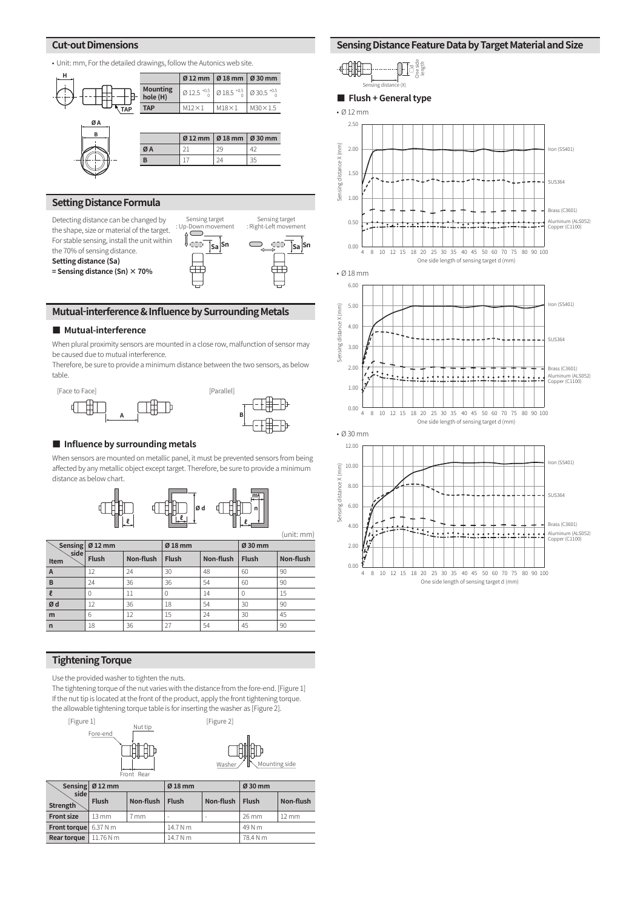#### **Cut-out Dimensions**

• Unit: mm, For the detailed drawings, follow the Autonics web site.





#### **Mutual-interference & Influence by Surrounding Metals**

#### **■ Mutual-interference**

When plural proximity sensors are mounted in a close row, malfunction of sensor may be caused due to mutual interference.

Therefore, be sure to provide a minimum distance between the two sensors, as below table.



#### ■ **Influence by surrounding metals**

When sensors are mounted on metallic panel, it must be prevented sensors from being affected by any metallic object except target. Therefore, be sure to provide a minimum distance as below chart.



(unit: mm)

|                | Sensing $\varnothing$ 12 mm |           | $Ø$ 18 mm    |           | Ø 30 mm      |           |
|----------------|-----------------------------|-----------|--------------|-----------|--------------|-----------|
| side<br>Item   | <b>Flush</b>                | Non-flush | <b>Flush</b> | Non-flush | <b>Flush</b> | Non-flush |
| $\overline{A}$ | 12                          | 24        | 30           | 48        | 60           | 90        |
| B              | 24                          | 36        | 36           | 54        | 60           | 90        |
| $\mathbf{P}$   | N                           | 11        | Ω            | 14        |              | 15        |
| Ød             | 12                          | 36        | 18           | 54        | 30           | 90        |
| m              | 6                           | 12        | 15           | 24        | 30           | 45        |
| $\mathsf{r}$   | 18                          | 36        | 27           | 54        | 45           | 90        |

#### **Tightening Torque**

Use the provided washer to tighten the nuts.

The tightening torque of the nut varies with the distance from the fore-end. [Figure 1] If the nut tip is located at the front of the product, apply the front tightening torque. the allowable tightening torque table is for inserting the washer as [Figure 2].



|                           | Sensing $\varnothing$ 12 mm |           | $Ø18$ mm     |           | Ø 30 mm         |                   |
|---------------------------|-----------------------------|-----------|--------------|-----------|-----------------|-------------------|
| side i<br><b>Strength</b> | <b>Flush</b>                | Non-flush | <b>Flush</b> | Non-flush | <b>Flush</b>    | Non-flush         |
| <b>Front size</b>         | $13 \text{ mm}$             | 7 mm      | ۰            | -         | $26 \text{ mm}$ | $12 \, \text{mm}$ |
| <b>Front torque</b>       | 6.37 N m                    |           | 14.7 N m     |           | 49 N m          |                   |
| Rear torque               | 11.76 N m                   |           | 14.7 N m     |           | 78.4 N m        |                   |

#### **Sensing Distance Feature Data by Target Material and Size**

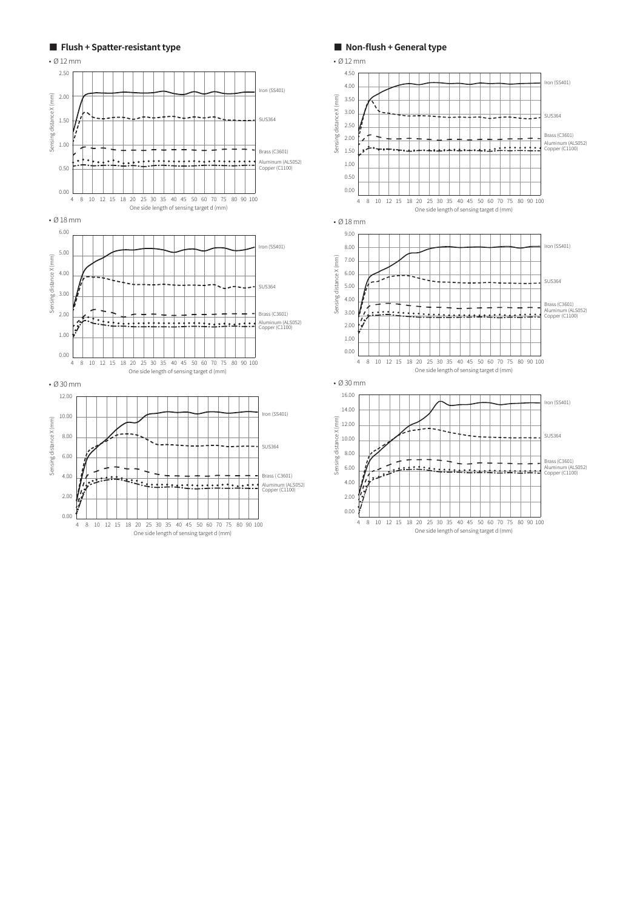

**■ Non-flush + General type**